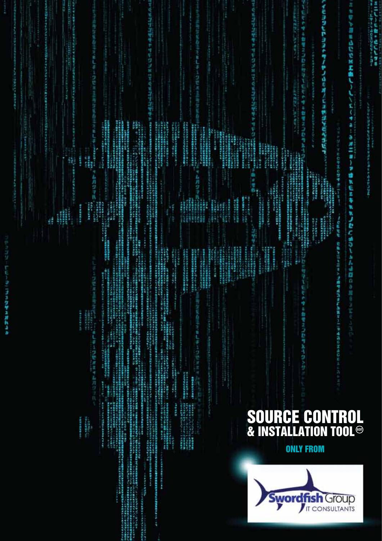| ÷ |    |
|---|----|
|   |    |
|   |    |
|   |    |
|   |    |
|   |    |
|   |    |
|   |    |
|   |    |
|   |    |
|   |    |
|   | i, |
|   |    |
|   |    |
|   |    |
|   |    |
|   |    |
|   |    |
|   |    |
|   |    |
|   |    |
|   |    |
|   |    |
| I |    |
|   |    |
|   |    |
|   |    |
|   |    |
|   |    |
|   |    |
|   |    |
|   |    |
|   |    |

しくたくサネーシオニョーア連れ伝えキれなりむことだ法語のこ

イモシタヒやシシャツノやノいミオノミシやジャごうだ · 이 프랑스 가운 하는 것 같은 것 같은 것 같아요. **名方やゆる御宿2012に行きて伝方やゆる御宿201** 法国际法律律师 经管理分析 化乙烯酸过程 一番 西洋 口中 **THE REAL** 一部の部分の 「アプリング」の「アプリング」の「アプリング」の「アプリング」の「アプリング」の「アプリング」の「アプリング」の「アプリング」の「アプリング」の「アプリング」の「アプリング」の「アプリング」の「アプ<br>「アプリング」の「アプリング」の「アプリング」の「アプリング」の「アプリング」の「アプリング」の「アプリング」の「アプリング」の「アプリング」の「アプリング」の「アプリング」の「アプリング」の「アプリング」の「ア 2、 11代中国大学基督教会研究所 11. 计内容 1990年の1月1日には、1990年の1月1日には、1990年の1月1日には、1990年の1月1日には、1990年には1990年には、1990年には1990年には、1990年には1990年には1990年には、1990年には1990年には、1990年には1990年には、1990年には1990年には1990年には1990年には1990年には1990年には1990年には1990年には1990年には1990年には1990年には1990年には1 **化学生的过去式和过去分词 医血管性皮炎 医血管性皮炎 医血管性皮炎 医血管性皮炎** 2.都是细胞蛋白的毛细芽芽的白色生殖室。 「アライヤギン」<br>コンテラの神社の中国の中国の中国で、データー<br>コンテラの中国の中国の中国で、国家の 1999年11月11日,1月11日,1月11日,1月11日,1月12日,1月12日,1月12日,1月12日,1月12日,1月12日,1月12日,1月12日,1月12日,1月12日,1月12日,1月12 a **のことでは、このことを見えるというのです。 CORRHWREEFER 化学工程研究中国研究研究所** ing<br>Mil.<br>Mil. engan i. 1995年,1998年,1998年,1998年,1998年,1998年,1998年,1998年,1998年,1998年,1998年,1998年,1998年,1998年,1998年,1998年,1998 **CONTRACTOR** 198022-016 1976年,2月18日在北海区区南京公园为建立市场公园中地区区和小学校、中国大学院、中国大学研究所、科学科、科学科、科学科、科学学、科学学、科学学、学校、学校、学校、学校、学校、学校、学校、学校、学校 **The Second Second** in and in 1999年,1999年,1999年,1999年,1999年,1999年,1999年,1999年,1999年,1999年,1999年,1999年,1999年,1999年,1999年,1999年,1999年,1999年,19<br>1999年,1999年,1999年,1999年,1999年,1999年,1999年,1999年,1999年,1999年,1999年,1999年,1999年,1999年,1999年,1999年,1999年,1999年,1 リバリアリでは、ある人はなちらない。 ピー・ドランス 海軍の ぎあき 学ぶ アス/写像 線 音楽音楽音楽音楽 こうしょう こうせいかん しょうかい おおやま はいかい しょうかい こうかいかい しょうかい しょうかい ij 计右月过 7.4月ワラ氏公益 á を行いたとするようにすることができます。 こうかいかん こうしん こうしょう こうしょう こうしょう こうしゅう こうしゅう こうしゅう こうしゅう こうしゅう こうしょう こうしょう こうしゅう こうしゅう こうしゅう こうしゅう こうしゅうしょう こうしゅう 4社の学生にある地方の中での歴史を含まれた。<br>2010年に1999年2月10日に、1999年に1999年に1999年に、1999年に、1999年 「そのことである。その他には、その他には、その他には、その他には、その他には、その他には、その他には、その他には、その他には、その他には、その他には、その他には、その他には、その他には、その他には、その他には、その他には、その他には、その他には、その他には、その他には、その他には、その他には、その他には、その他には、その他には、その他には、その他には、その他には、その他には、その他には、その他には、その他には、その他には、その他には、そ **法国美国新闻开始基本基地名**<br>第1章 美国新闻 **UNITED STATES Contract SARVANY** į, **の世界の地下には**<br>1980年には、1980年 20世纪英国中国语言中国文学 đ, 2842444444 **STARRER 18 法律的法律的**<br>法律的事件 计数据库  $\frac{1}{2}$ NG đ, 医皮肤病 e a de 2005 e 1000 e 1000 e 1000 e 1000 e 1000 e 1000 e 1000 e 1000 e 1000 e 1000 e 1000 e 1000 e 1000 e 1000 **Sunday Contained** ,我们学生的生活的学生,我们学生的学生。 1999年4月28日半島館学生の1118年の1月1日に、1月1日には日本を利用する時にする時にまたのでもとり、 ころでは、ことは日本メントリーン。<br>日本名を同パインドイキを使うことを検討す<br>「モトリエイエントックのイオン共有体の **The Season Inc. STATISTICS Contact Contact Contact Contact Contact Contact Contact Contact Contact Contact Contact Contact Contact Contact** William Herri アクセルトの映像<br>中国語の映像<br>精神細胞の構造系統 i<br>V ぞうゆう 自宅スロ むみとう クッセ 1200年10月 大きさ あままま をはま会かすもの。 イオオミナー 大学 ともから、小いでは、「アイデン」の「アイデン」の「アイデン」の「アイデン」の「アイデン」の「アイデン」の「コンドラック」の「アイデン」の「アイデン」の「アニック」の「アニック」の「アニック」の「アニッ 1年10年前出版學作業開始社会 **Holland Charles Address Contract にはくらん 「ままをあるのかのかい」**<br>アカランス - 『ままをあるのか』 **.............. CONTRACT** 「大学の中で、インストリングです」。 こうしょう アクセル しょうかん しょうかん しょうしょう しょうしょう しょうしょう しょうかん しょうかん しょうかん しょうかん しょうかん しょうかん しょうかん しょうかん しょうかん しょうかん しょうかん SOU<br>& INS R CE **NTRO** CO 197、毛の神話です。<br>1977年10月 **INSTALLATION TOOL®** - あまなせば 実際の大切ができる スページング 新型 はんしゅう アドレーション あんしょう ファー・リーン かんしょう こうせい **ONLY FROM** wordfish Group **IT CONSULTANTS** 

コミクザミガトラカ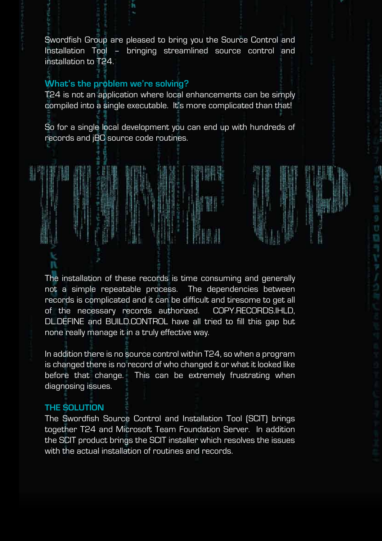Swordfish Group are pleased to bring you the Source Control and Installation Tool – bringing streamlined source control and installation to T24.

## **What's the problem we're solving?**

T24 is not an application where local enhancements can be simply compiled into a single executable. It's more complicated than that!

So for a single local development you can end up with hundreds of records and jBC source code routines.

The installation of these records is time consuming and generally not a simple repeatable process. The dependencies between records is complicated and it can be difficult and tiresome to get all of the necessary records authorized. COPY.RECORDS.IHLD, DL.DEFINE and BUILD.CONTROL have all tried to fill this gap but none really manage it in a truly effective way.

In addition there is no source control within T24, so when a program is changed there is no record of who changed it or what it looked like before that change. This can be extremely frustrating when diagnosing issues.

## **THE SOLUTION**

The Swordfish Source Control and Installation Tool (SCIT) brings together T24 and Microsoft Team Foundation Server. In addition the SCIT product brings the SCIT installer which resolves the issues with the actual installation of routines and records.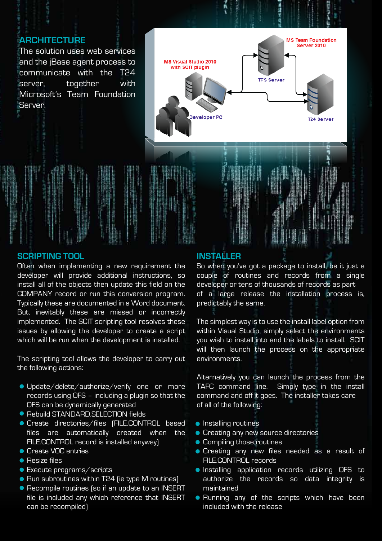## **ARCHITECTURE**

The solution uses web services and the jBase agent process to communicate with the T24 server, together with Microsoft's Team Foundation Server.



#### **SCRIPTING TOOL**

Often when implementing a new requirement the developer will provide additional instructions, so install all of the objects then update this field on the COMPANY record or run this conversion program. Typically these are documented in a Word document. But, inevitably these are missed or incorrectly implemented. The SCIT scripting tool resolves these issues by allowing the developer to create a script which will be run when the development is installed.

The scripting tool allows the developer to carry out the following actions:

- **Update/delete/authorize/verify one or more** records using OFS – including a plugin so that the OFS can be dynamically generated
- Rebuild STANDARD.SELECTION fields
- Create directories/files (FILE.CONTROL based files are automatically created when the FILE.CONTROL record is installed anyway)
- **Create VOC entries**
- **Resize files**
- **Execute programs/scripts**
- Run subroutines within T24 (ie type M routines)
- Recompile routines (so if an update to an INSERT file is included any which reference that INSERT can be recompiled)

### **INSTALLER**

So when you've got a package to install, be it just a couple of routines and records from a single developer or tens of thousands of records as part of a large release the installation process is, predictably the same.

The simplest way is to use the install label option from within Visual Studio, simply select the environments you wish to install into and the labels to install. SCIT will then launch the process on the appropriate environments.

Alternatively you can launch the process from the TAFC command line. Simply type in the install command and off it goes. The installer takes care of all of the following:

- **•** Installing routines
- **Creating any new source directories**
- **Compiling those routines**
- **Creating any new files needed as a result of** FILE.CONTROL records
- **Installing application records utilizing OFS to** authorize the records so data integrity is maintained
- **Running any of the scripts which have been** included with the release